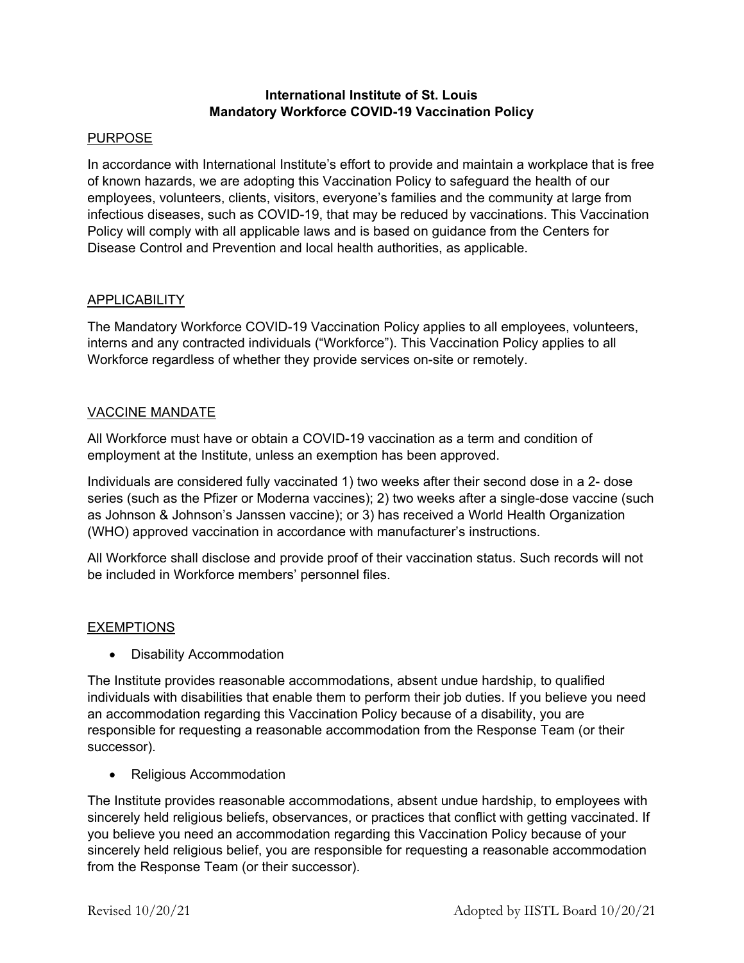## **International Institute of St. Louis Mandatory Workforce COVID-19 Vaccination Policy**

### PURPOSE

In accordance with International Institute's effort to provide and maintain a workplace that is free of known hazards, we are adopting this Vaccination Policy to safeguard the health of our employees, volunteers, clients, visitors, everyone's families and the community at large from infectious diseases, such as COVID-19, that may be reduced by vaccinations. This Vaccination Policy will comply with all applicable laws and is based on guidance from the Centers for Disease Control and Prevention and local health authorities, as applicable.

# APPLICABILITY

The Mandatory Workforce COVID-19 Vaccination Policy applies to all employees, volunteers, interns and any contracted individuals ("Workforce"). This Vaccination Policy applies to all Workforce regardless of whether they provide services on-site or remotely.

### VACCINE MANDATE

All Workforce must have or obtain a COVID-19 vaccination as a term and condition of employment at the Institute, unless an exemption has been approved.

Individuals are considered fully vaccinated 1) two weeks after their second dose in a 2- dose series (such as the Pfizer or Moderna vaccines); 2) two weeks after a single-dose vaccine (such as Johnson & Johnson's Janssen vaccine); or 3) has received a World Health Organization (WHO) approved vaccination in accordance with manufacturer's instructions.

All Workforce shall disclose and provide proof of their vaccination status. Such records will not be included in Workforce members' personnel files.

#### **EXEMPTIONS**

• Disability Accommodation

The Institute provides reasonable accommodations, absent undue hardship, to qualified individuals with disabilities that enable them to perform their job duties. If you believe you need an accommodation regarding this Vaccination Policy because of a disability, you are responsible for requesting a reasonable accommodation from the Response Team (or their successor).

• Religious Accommodation

The Institute provides reasonable accommodations, absent undue hardship, to employees with sincerely held religious beliefs, observances, or practices that conflict with getting vaccinated. If you believe you need an accommodation regarding this Vaccination Policy because of your sincerely held religious belief, you are responsible for requesting a reasonable accommodation from the Response Team (or their successor).